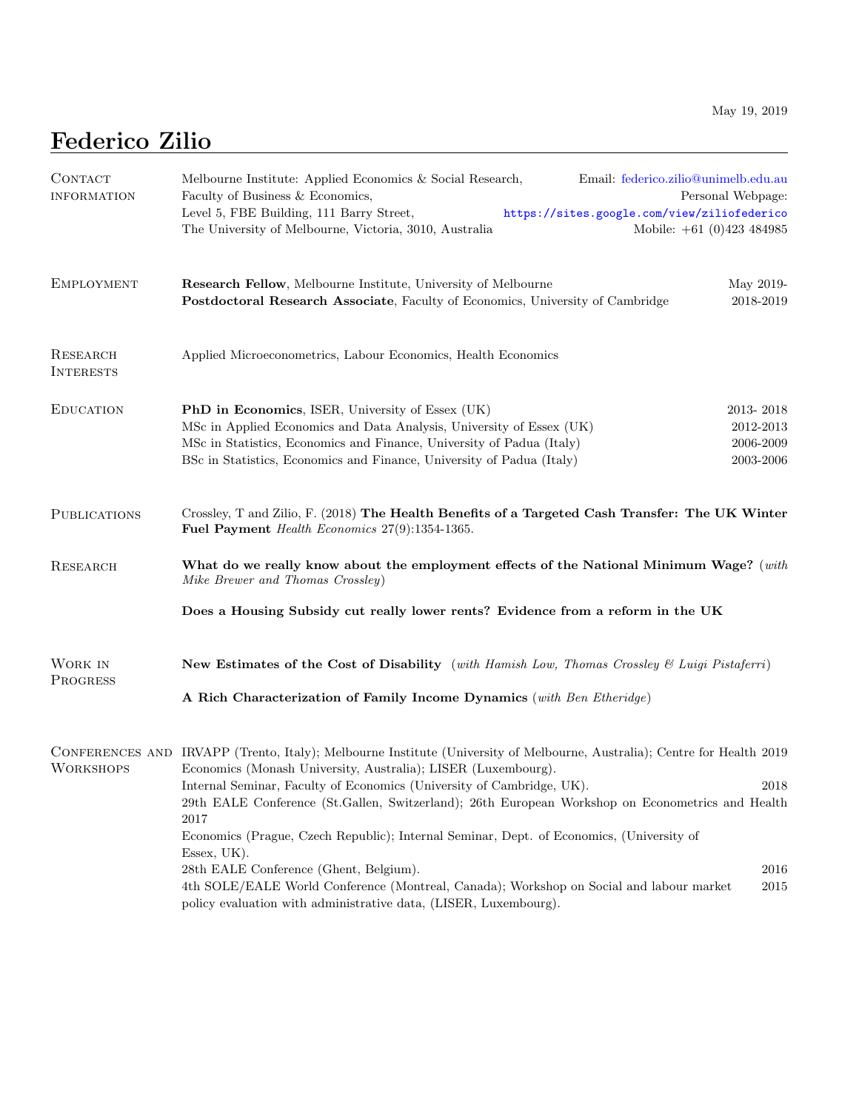## Federico Zilio

| CONTACT<br><b>INFORMATION</b> | Melbourne Institute: Applied Economics & Social Research,<br>Email: federico.zilio@unimelb.edu.au<br>Faculty of Business & Economics,<br>Personal Webpage:<br>Level 5, FBE Building, 111 Barry Street,<br>https://sites.google.com/view/ziliofederico |  |  |
|-------------------------------|-------------------------------------------------------------------------------------------------------------------------------------------------------------------------------------------------------------------------------------------------------|--|--|
|                               | The University of Melbourne, Victoria, 3010, Australia<br>Mobile: $+61$ (0)423 484985                                                                                                                                                                 |  |  |
| <b>EMPLOYMENT</b>             | <b>Research Fellow</b> , Melbourne Institute, University of Melbourne<br>May 2019-<br>Postdoctoral Research Associate, Faculty of Economics, University of Cambridge<br>2018-2019                                                                     |  |  |
| RESEARCH<br><b>INTERESTS</b>  | Applied Microeconometrics, Labour Economics, Health Economics                                                                                                                                                                                         |  |  |
| <b>EDUCATION</b>              | 2013-2018<br><b>PhD</b> in Economics, ISER, University of Essex (UK)                                                                                                                                                                                  |  |  |
|                               | 2012-2013<br>MSc in Applied Economics and Data Analysis, University of Essex (UK)<br>MSc in Statistics, Economics and Finance, University of Padua (Italy)<br>2006-2009                                                                               |  |  |
|                               | BSc in Statistics, Economics and Finance, University of Padua (Italy)<br>2003-2006                                                                                                                                                                    |  |  |
| <b>PUBLICATIONS</b>           | Crossley, T and Zilio, F. (2018) The Health Benefits of a Targeted Cash Transfer: The UK Winter<br>Fuel Payment Health Economics 27(9):1354-1365.                                                                                                     |  |  |
| <b>RESEARCH</b>               | What do we really know about the employment effects of the National Minimum Wage? (with<br>Mike Brewer and Thomas Crossley)                                                                                                                           |  |  |
|                               | Does a Housing Subsidy cut really lower rents? Evidence from a reform in the UK                                                                                                                                                                       |  |  |
| WORK IN<br>PROGRESS           | New Estimates of the Cost of Disability (with Hamish Low, Thomas Crossley & Luigi Pistaferri)                                                                                                                                                         |  |  |
|                               | A Rich Characterization of Family Income Dynamics (with Ben Etheridge)                                                                                                                                                                                |  |  |
| <b>WORKSHOPS</b>              | CONFERENCES AND IRVAPP (Trento, Italy); Melbourne Institute (University of Melbourne, Australia); Centre for Health 2019<br>Economics (Monash University, Australia); LISER (Luxembourg).                                                             |  |  |
|                               | Internal Seminar, Faculty of Economics (University of Cambridge, UK).<br>2018                                                                                                                                                                         |  |  |
|                               | 29th EALE Conference (St.Gallen, Switzerland); 26th European Workshop on Econometrics and Health<br>2017                                                                                                                                              |  |  |
|                               | Economics (Prague, Czech Republic); Internal Seminar, Dept. of Economics, (University of<br>Essex, UK).                                                                                                                                               |  |  |
|                               | 28th EALE Conference (Ghent, Belgium).<br>2016                                                                                                                                                                                                        |  |  |
|                               | 4th SOLE/EALE World Conference (Montreal, Canada); Workshop on Social and labour market<br>2015<br>policy evaluation with administrative data, (LISER, Luxembourg).                                                                                   |  |  |

<u> 1980 - Johann Barbara, martxa alemaniar a</u>